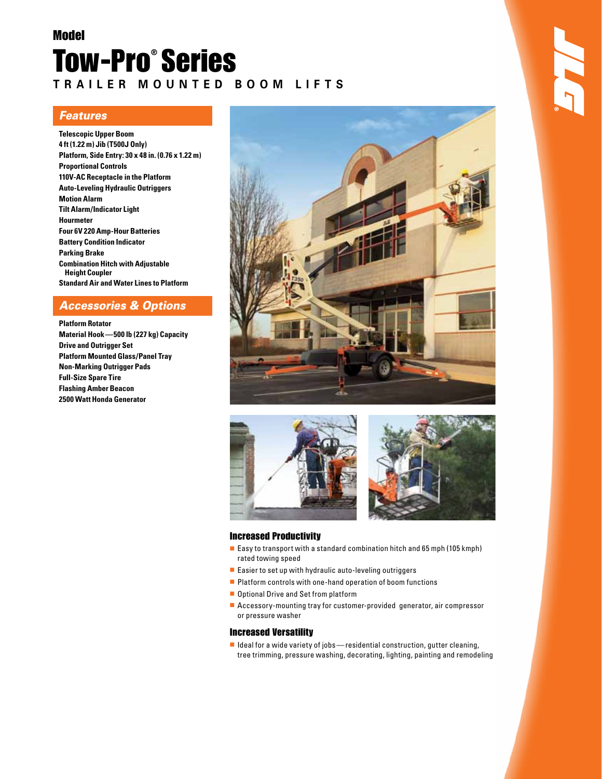# Model Tow-Pro® Series **T r a i l e r m o u n t e d B o o m L i f t s**

### *Features*

**Telescopic Upper Boom 4 ft (1.22 m) Jib (T500J Only) Platform, Side Entry: 30 x 48 in. (0.76 x 1.22 m) Proportional Controls 110V-AC Receptacle in the Platform Auto-Leveling Hydraulic Outriggers Motion Alarm Tilt Alarm/Indicator Light Hourmeter Four 6V 220 Amp-Hour Batteries Battery Condition Indicator Parking Brake Combination Hitch with Adjustable Height Coupler Standard Air and Water Lines to Platform**

### *Accessories & Options*

**Platform Rotator Material Hook—500 lb (227 kg) Capacity Drive and Outrigger Set Platform Mounted Glass/Panel Tray Non-Marking Outrigger Pads Full-Size Spare Tire Flashing Amber Beacon 2500 Watt Honda Generator**







#### Increased Productivity

- Easy to transport with a standard combination hitch and 65 mph (105 kmph) rated towing speed
- Easier to set up with hydraulic auto-leveling outriggers
- Platform controls with one-hand operation of boom functions
- Optional Drive and Set from platform
- Accessory-mounting tray for customer-provided generator, air compressor or pressure washer

#### Increased Versatility

■ Ideal for a wide variety of jobs—residential construction, gutter cleaning, tree trimming, pressure washing, decorating, lighting, painting and remodeling